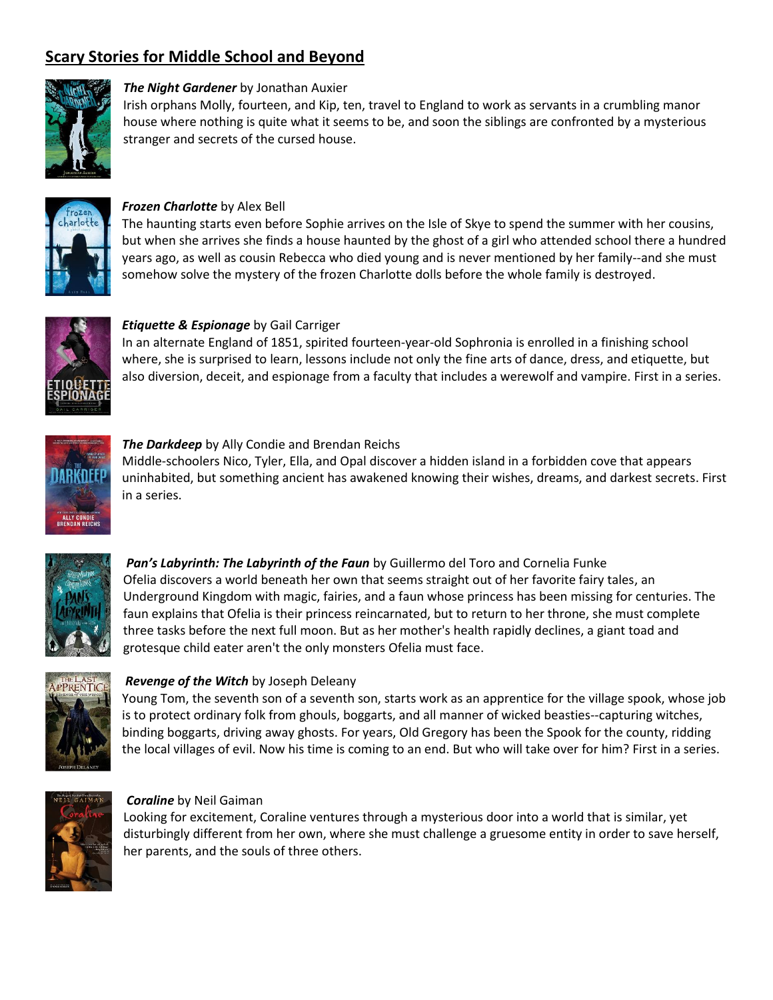# **Scary Stories for Middle School and Beyond**



## *The Night Gardener* by Jonathan Auxier

Irish orphans Molly, fourteen, and Kip, ten, travel to England to work as servants in a crumbling manor house where nothing is quite what it seems to be, and soon the siblings are confronted by a mysterious stranger and secrets of the cursed house.



## *Frozen Charlotte* by Alex Bell

The haunting starts even before Sophie arrives on the Isle of Skye to spend the summer with her cousins, but when she arrives she finds a house haunted by the ghost of a girl who attended school there a hundred years ago, as well as cousin Rebecca who died young and is never mentioned by her family--and she must somehow solve the mystery of the frozen Charlotte dolls before the whole family is destroyed.



## *Etiquette & Espionage* by Gail Carriger

In an alternate England of 1851, spirited fourteen-year-old Sophronia is enrolled in a finishing school where, she is surprised to learn, lessons include not only the fine arts of dance, dress, and etiquette, but also diversion, deceit, and espionage from a faculty that includes a werewolf and vampire. First in a series.



## *The Darkdeep* by Ally Condie and Brendan Reichs

Middle-schoolers Nico, Tyler, Ella, and Opal discover a hidden island in a forbidden cove that appears uninhabited, but something ancient has awakened knowing their wishes, dreams, and darkest secrets. First in a series.



*Pan's Labyrinth: The Labyrinth of the Faun* by Guillermo del Toro and Cornelia Funke Ofelia discovers a world beneath her own that seems straight out of her favorite fairy tales, an Underground Kingdom with magic, fairies, and a faun whose princess has been missing for centuries. The faun explains that Ofelia is their princess reincarnated, but to return to her throne, she must complete three tasks before the next full moon. But as her mother's health rapidly declines, a giant toad and grotesque child eater aren't the only monsters Ofelia must face.



## *Revenge of the Witch* by Joseph Deleany

Young Tom, the seventh son of a seventh son, starts work as an apprentice for the village spook, whose job is to protect ordinary folk from ghouls, boggarts, and all manner of wicked beasties--capturing witches, binding boggarts, driving away ghosts. For years, Old Gregory has been the Spook for the county, ridding the local villages of evil. Now his time is coming to an end. But who will take over for him? First in a series.



## *Coraline* by Neil Gaiman

Looking for excitement, Coraline ventures through a mysterious door into a world that is similar, yet disturbingly different from her own, where she must challenge a gruesome entity in order to save herself, her parents, and the souls of three others.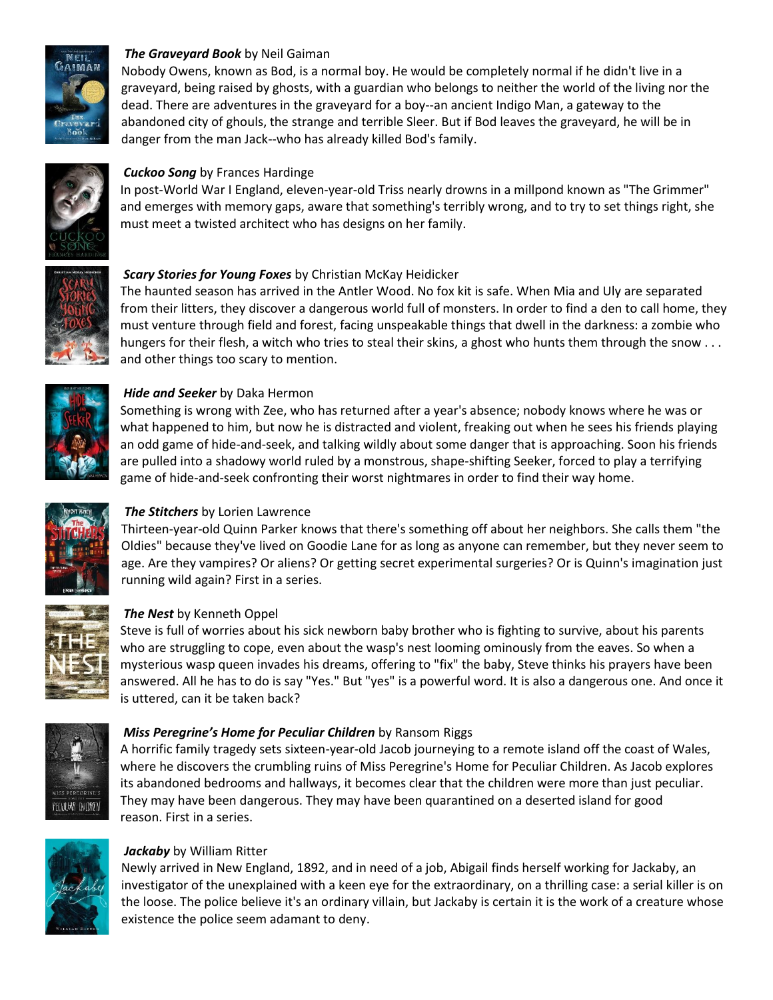

## *The Graveyard Book* by Neil Gaiman

Nobody Owens, known as Bod, is a normal boy. He would be completely normal if he didn't live in a graveyard, being raised by ghosts, with a guardian who belongs to neither the world of the living nor the dead. There are adventures in the graveyard for a boy--an ancient Indigo Man, a gateway to the abandoned city of ghouls, the strange and terrible Sleer. But if Bod leaves the graveyard, he will be in danger from the man Jack--who has already killed Bod's family.



## *Cuckoo Song* by Frances Hardinge

In post-World War I England, eleven-year-old Triss nearly drowns in a millpond known as "The Grimmer" and emerges with memory gaps, aware that something's terribly wrong, and to try to set things right, she must meet a twisted architect who has designs on her family.



## *Scary Stories for Young Foxes* by Christian McKay Heidicker

The haunted season has arrived in the Antler Wood. No fox kit is safe. When Mia and Uly are separated from their litters, they discover a dangerous world full of monsters. In order to find a den to call home, they must venture through field and forest, facing unspeakable things that dwell in the darkness: a zombie who hungers for their flesh, a witch who tries to steal their skins, a ghost who hunts them through the snow . . . and other things too scary to mention.



## *Hide and Seeker* by Daka Hermon

Something is wrong with Zee, who has returned after a year's absence; nobody knows where he was or what happened to him, but now he is distracted and violent, freaking out when he sees his friends playing an odd game of hide-and-seek, and talking wildly about some danger that is approaching. Soon his friends are pulled into a shadowy world ruled by a monstrous, shape-shifting Seeker, forced to play a terrifying game of hide-and-seek confronting their worst nightmares in order to find their way home.



# *The Stitchers* by Lorien Lawrence

Thirteen-year-old Quinn Parker knows that there's something off about her neighbors. She calls them "the Oldies" because they've lived on Goodie Lane for as long as anyone can remember, but they never seem to age. Are they vampires? Or aliens? Or getting secret experimental surgeries? Or is Quinn's imagination just running wild again? First in a series.



## *The Nest* by Kenneth Oppel

Steve is full of worries about his sick newborn baby brother who is fighting to survive, about his parents who are struggling to cope, even about the wasp's nest looming ominously from the eaves. So when a mysterious wasp queen invades his dreams, offering to "fix" the baby, Steve thinks his prayers have been answered. All he has to do is say "Yes." But "yes" is a powerful word. It is also a dangerous one. And once it is uttered, can it be taken back?



## *Miss Peregrine's Home for Peculiar Children* by Ransom Riggs

A horrific family tragedy sets sixteen-year-old Jacob journeying to a remote island off the coast of Wales, where he discovers the crumbling ruins of Miss Peregrine's Home for Peculiar Children. As Jacob explores its abandoned bedrooms and hallways, it becomes clear that the children were more than just peculiar. They may have been dangerous. They may have been quarantined on a deserted island for good reason. First in a series.



## *Jackaby* by William Ritter

Newly arrived in New England, 1892, and in need of a job, Abigail finds herself working for Jackaby, an investigator of the unexplained with a keen eye for the extraordinary, on a thrilling case: a serial killer is on the loose. The police believe it's an ordinary villain, but Jackaby is certain it is the work of a creature whose existence the police seem adamant to deny.